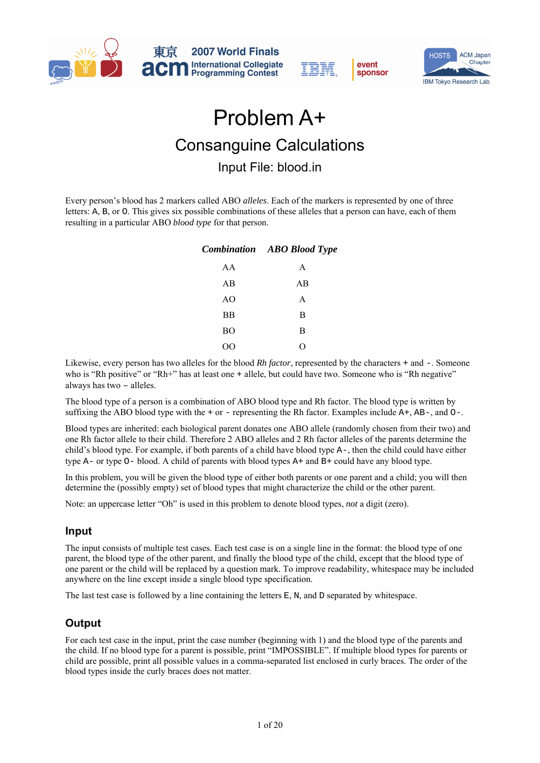





# Problem A+ Consanguine Calculations Input File: blood.in

Every person's blood has 2 markers called ABO *alleles*. Each of the markers is represented by one of three letters: A, B, or O. This gives six possible combinations of these alleles that a person can have, each of them resulting in a particular ABO *blood type* for that person.

|      | <b>Combination</b> ABO Blood Type |
|------|-----------------------------------|
| AA   | A                                 |
| AB   | AB                                |
| AO   | A                                 |
| BB   | B                                 |
| BO   | B                                 |
| ()() | ( )                               |

Likewise, every person has two alleles for the blood *Rh factor*, represented by the characters + and -. Someone who is "Rh positive" or "Rh+" has at least one + allele, but could have two. Someone who is "Rh negative" always has two – alleles.

The blood type of a person is a combination of ABO blood type and Rh factor. The blood type is written by suffixing the ABO blood type with the  $+$  or - representing the Rh factor. Examples include  $A+$ ,  $AB-$ , and  $O-$ .

Blood types are inherited: each biological parent donates one ABO allele (randomly chosen from their two) and one Rh factor allele to their child. Therefore 2 ABO alleles and 2 Rh factor alleles of the parents determine the child's blood type. For example, if both parents of a child have blood type A-, then the child could have either type A- or type O- blood. A child of parents with blood types A+ and B+ could have any blood type.

In this problem, you will be given the blood type of either both parents or one parent and a child; you will then determine the (possibly empty) set of blood types that might characterize the child or the other parent.

Note: an uppercase letter "Oh" is used in this problem to denote blood types, *not* a digit (zero).

### **Input**

The input consists of multiple test cases. Each test case is on a single line in the format: the blood type of one parent, the blood type of the other parent, and finally the blood type of the child, except that the blood type of one parent or the child will be replaced by a question mark. To improve readability, whitespace may be included anywhere on the line except inside a single blood type specification.

The last test case is followed by a line containing the letters E, N, and D separated by whitespace.

### **Output**

For each test case in the input, print the case number (beginning with 1) and the blood type of the parents and the child. If no blood type for a parent is possible, print "IMPOSSIBLE". If multiple blood types for parents or child are possible, print all possible values in a comma-separated list enclosed in curly braces. The order of the blood types inside the curly braces does not matter.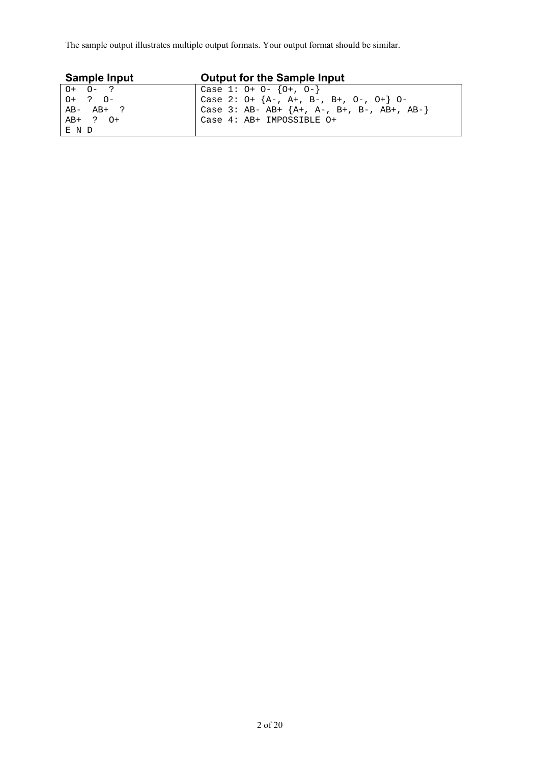The sample output illustrates multiple output formats. Your output format should be similar.

| <b>Sample Input</b> | <b>Output for the Sample Input</b>                 |
|---------------------|----------------------------------------------------|
| $O+$ $O-$ ?         | $\vert$ Case 1: 0+ 0- $\{0+, 0-\}$                 |
| $0+ ? 0-$           | $\vert$ Case 2: 0+ {A-, A+, B-, B+, O-, O+} O-     |
| $AB - AB + ?$       | $\vert$ Case 3: AB- AB+ {A+, A-, B+, B-, AB+, AB-} |
| AB+ ? O+            | Case 4: AB+ IMPOSSIBLE O+                          |
| EN D                |                                                    |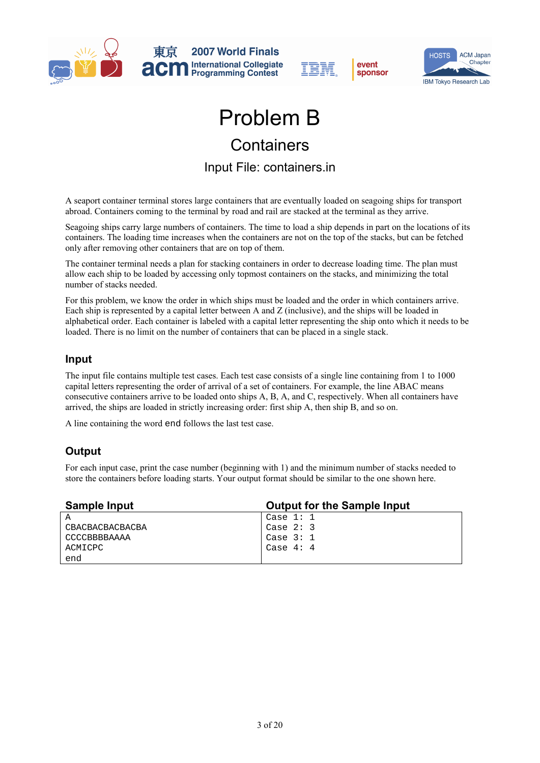





# Problem B

# **Containers**

Input File: containers.in

A seaport container terminal stores large containers that are eventually loaded on seagoing ships for transport abroad. Containers coming to the terminal by road and rail are stacked at the terminal as they arrive.

Seagoing ships carry large numbers of containers. The time to load a ship depends in part on the locations of its containers. The loading time increases when the containers are not on the top of the stacks, but can be fetched only after removing other containers that are on top of them.

The container terminal needs a plan for stacking containers in order to decrease loading time. The plan must allow each ship to be loaded by accessing only topmost containers on the stacks, and minimizing the total number of stacks needed.

For this problem, we know the order in which ships must be loaded and the order in which containers arrive. Each ship is represented by a capital letter between A and Z (inclusive), and the ships will be loaded in alphabetical order. Each container is labeled with a capital letter representing the ship onto which it needs to be loaded. There is no limit on the number of containers that can be placed in a single stack.

#### **Input**

The input file contains multiple test cases. Each test case consists of a single line containing from 1 to 1000 capital letters representing the order of arrival of a set of containers. For example, the line ABAC means consecutive containers arrive to be loaded onto ships A, B, A, and C, respectively. When all containers have arrived, the ships are loaded in strictly increasing order: first ship A, then ship B, and so on.

A line containing the word end follows the last test case.

# **Output**

For each input case, print the case number (beginning with 1) and the minimum number of stacks needed to store the containers before loading starts. Your output format should be similar to the one shown here.

| <b>Sample Input</b> | <b>Output for the Sample Input</b> |
|---------------------|------------------------------------|
| А                   | Case 1: 1                          |
| CBACBACBACBACBA     | Case $2:3$                         |
| CCCCBBBBAAAA        | Case $3:1$                         |
| ACMICPC             | Case $4:4$                         |
| end                 |                                    |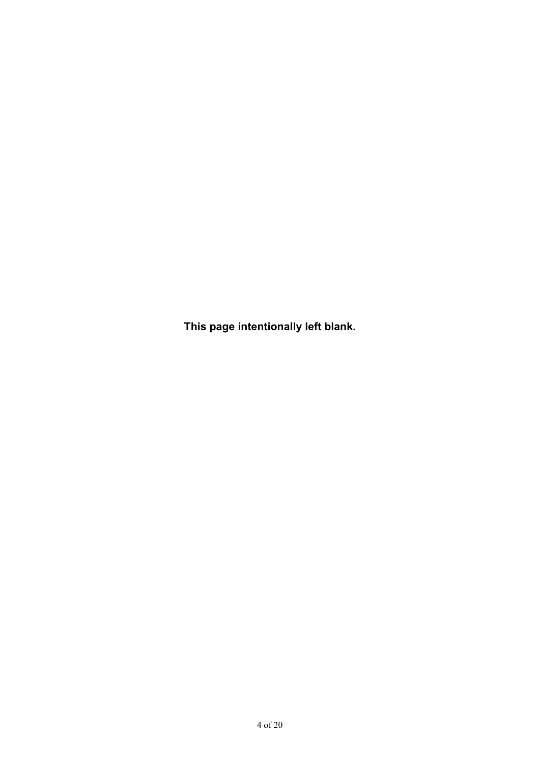**This page intentionally left blank.**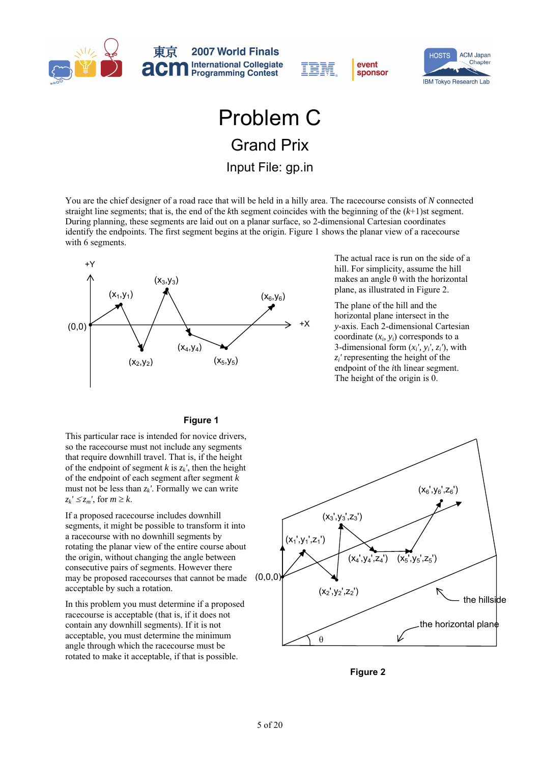





# Problem C Grand Prix Input File: gp.in

You are the chief designer of a road race that will be held in a hilly area. The racecourse consists of *N* connected straight line segments; that is, the end of the *k*th segment coincides with the beginning of the (*k*+1)st segment. During planning, these segments are laid out on a planar surface, so 2-dimensional Cartesian coordinates identify the endpoints. The first segment begins at the origin. Figure 1 shows the planar view of a racecourse with 6 segments.



#### **Figure 1**

This particular race is intended for novice drivers, so the racecourse must not include any segments that require downhill travel. That is, if the height of the endpoint of segment  $k$  is  $z_k$ <sup>'</sup>, then the height of the endpoint of each segment after segment *k* must not be less than  $z_k$ <sup>'</sup>. Formally we can write  $z_k' \leq z_m'$ , for  $m \geq k$ .

If a proposed racecourse includes downhill segments, it might be possible to transform it into a racecourse with no downhill segments by rotating the planar view of the entire course about the origin, without changing the angle between consecutive pairs of segments. However there may be proposed racecourses that cannot be made acceptable by such a rotation.

In this problem you must determine if a proposed racecourse is acceptable (that is, if it does not contain any downhill segments). If it is not acceptable, you must determine the minimum angle through which the racecourse must be rotated to make it acceptable, if that is possible.

The actual race is run on the side of a hill. For simplicity, assume the hill makes an angle  $\theta$  with the horizontal plane, as illustrated in Figure 2.

The plane of the hill and the horizontal plane intersect in the *y*-axis. Each 2-dimensional Cartesian coordinate  $(x_i, y_i)$  corresponds to a 3-dimensional form  $(x_i, y_i, z_i)$ , with *zi'* representing the height of the endpoint of the *i*th linear segment. The height of the origin is 0.



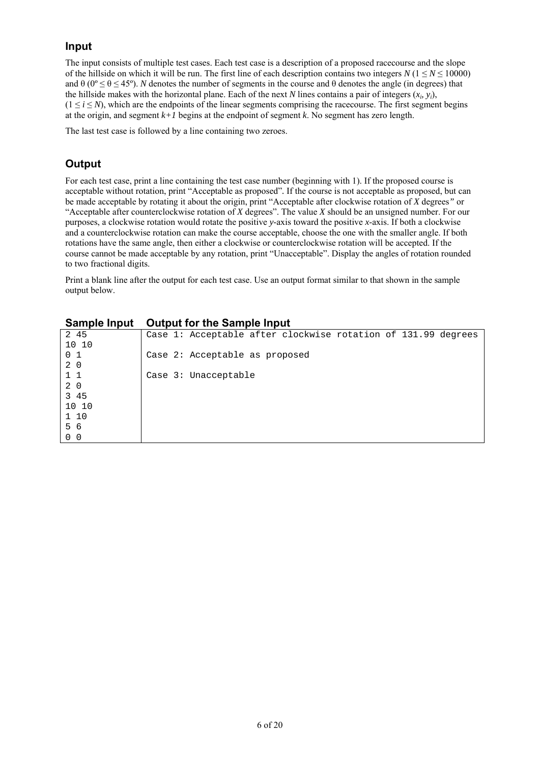The input consists of multiple test cases. Each test case is a description of a proposed racecourse and the slope of the hillside on which it will be run. The first line of each description contains two integers  $N(1 \le N \le 10000)$ and  $\theta$  (0<sup>o</sup>  $\leq \theta \leq 45$ <sup>o</sup>). *N* denotes the number of segments in the course and  $\theta$  denotes the angle (in degrees) that the hillside makes with the horizontal plane. Each of the next *N* lines contains a pair of integers  $(x_i, y_i)$ ,  $(1 \le i \le N)$ , which are the endpoints of the linear segments comprising the racecourse. The first segment begins at the origin, and segment *k+1* begins at the endpoint of segment *k*. No segment has zero length.

The last test case is followed by a line containing two zeroes.

### **Output**

For each test case, print a line containing the test case number (beginning with 1). If the proposed course is acceptable without rotation, print "Acceptable as proposed"*.* If the course is not acceptable as proposed, but can be made acceptable by rotating it about the origin, print "Acceptable after clockwise rotation of *X* degrees*"* or "Acceptable after counterclockwise rotation of *X* degrees". The value *X* should be an unsigned number. For our purposes, a clockwise rotation would rotate the positive *y*-axis toward the positive *x*-axis. If both a clockwise and a counterclockwise rotation can make the course acceptable, choose the one with the smaller angle. If both rotations have the same angle, then either a clockwise or counterclockwise rotation will be accepted. If the course cannot be made acceptable by any rotation, print "Unacceptable". Display the angles of rotation rounded to two fractional digits.

Print a blank line after the output for each test case. Use an output format similar to that shown in the sample output below.

| <b>Dallible lipput</b> | <b>U</b> utput for the Juliple input                          |
|------------------------|---------------------------------------------------------------|
| 2 45                   | Case 1: Acceptable after clockwise rotation of 131.99 degrees |
| 10 10                  |                                                               |
| 0 <sub>1</sub>         | Case 2: Acceptable as proposed                                |
| 2 0                    |                                                               |
| $1\quad1$              | Case 3: Unacceptable                                          |
| 2 0                    |                                                               |
| 3 45                   |                                                               |
| 10 10                  |                                                               |
| 1 10                   |                                                               |
| 5 6                    |                                                               |
| $0\quad 0$             |                                                               |
|                        |                                                               |

### **Sample Input Output for the Sample Input**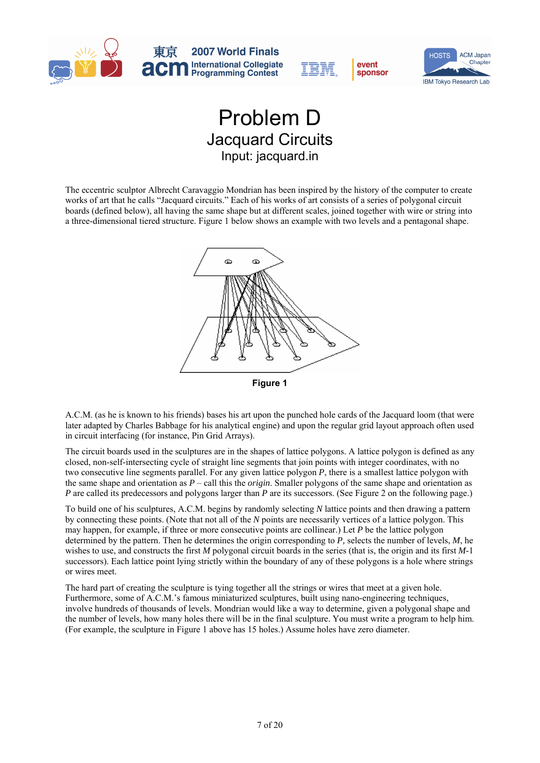

# Problem D Jacquard Circuits Input: jacquard.in

The eccentric sculptor Albrecht Caravaggio Mondrian has been inspired by the history of the computer to create works of art that he calls "Jacquard circuits." Each of his works of art consists of a series of polygonal circuit boards (defined below), all having the same shape but at different scales, joined together with wire or string into a three-dimensional tiered structure. Figure 1 below shows an example with two levels and a pentagonal shape.



A.C.M. (as he is known to his friends) bases his art upon the punched hole cards of the Jacquard loom (that were later adapted by Charles Babbage for his analytical engine) and upon the regular grid layout approach often used in circuit interfacing (for instance, Pin Grid Arrays).

The circuit boards used in the sculptures are in the shapes of lattice polygons. A lattice polygon is defined as any closed, non-self-intersecting cycle of straight line segments that join points with integer coordinates, with no two consecutive line segments parallel. For any given lattice polygon *P*, there is a smallest lattice polygon with the same shape and orientation as *P* – call this the *origin*. Smaller polygons of the same shape and orientation as *P* are called its predecessors and polygons larger than *P* are its successors. (See Figure 2 on the following page.)

To build one of his sculptures, A.C.M. begins by randomly selecting *N* lattice points and then drawing a pattern by connecting these points. (Note that not all of the *N* points are necessarily vertices of a lattice polygon. This may happen, for example, if three or more consecutive points are collinear.) Let *P* be the lattice polygon determined by the pattern. Then he determines the origin corresponding to *P,* selects the number of levels, *M*, he wishes to use, and constructs the first *M* polygonal circuit boards in the series (that is, the origin and its first *M*-1 successors). Each lattice point lying strictly within the boundary of any of these polygons is a hole where strings or wires meet.

The hard part of creating the sculpture is tying together all the strings or wires that meet at a given hole. Furthermore, some of A.C.M.'s famous miniaturized sculptures, built using nano-engineering techniques, involve hundreds of thousands of levels. Mondrian would like a way to determine, given a polygonal shape and the number of levels, how many holes there will be in the final sculpture. You must write a program to help him. (For example, the sculpture in Figure 1 above has 15 holes.) Assume holes have zero diameter.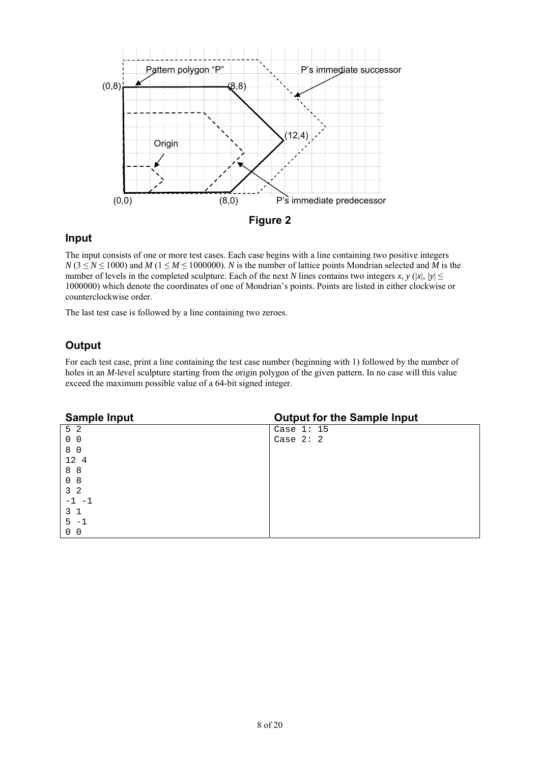

The input consists of one or more test cases. Each case begins with a line containing two positive integers  $N(3 \le N \le 1000)$  and  $M(1 \le M \le 1000000)$ . *N* is the number of lattice points Mondrian selected and *M* is the number of levels in the completed sculpture. Each of the next *N* lines contains two integers *x*, *y* (|*x*|, /*y*|  $\le$ 1000000) which denote the coordinates of one of Mondrian's points. Points are listed in either clockwise or counterclockwise order.

The last test case is followed by a line containing two zeroes.

# **Output**

For each test case, print a line containing the test case number (beginning with 1) followed by the number of holes in an *M*-level sculpture starting from the origin polygon of the given pattern. In no case will this value exceed the maximum possible value of a 64-bit signed integer.

| <b>Sample Input</b> | <b>Output for the Sample Input</b> |
|---------------------|------------------------------------|
| 5 <sub>2</sub>      | Case 1: 15                         |
| $0\quad 0$          | Case $2:2$                         |
| 8 0                 |                                    |
| 12 4                |                                    |
| 8 8                 |                                    |
| 0 <sub>8</sub>      |                                    |
| 3 <sub>2</sub>      |                                    |
| $-1 -1$             |                                    |
| 3 <sub>1</sub>      |                                    |
| $5 - 1$             |                                    |
| 0<br>- 0            |                                    |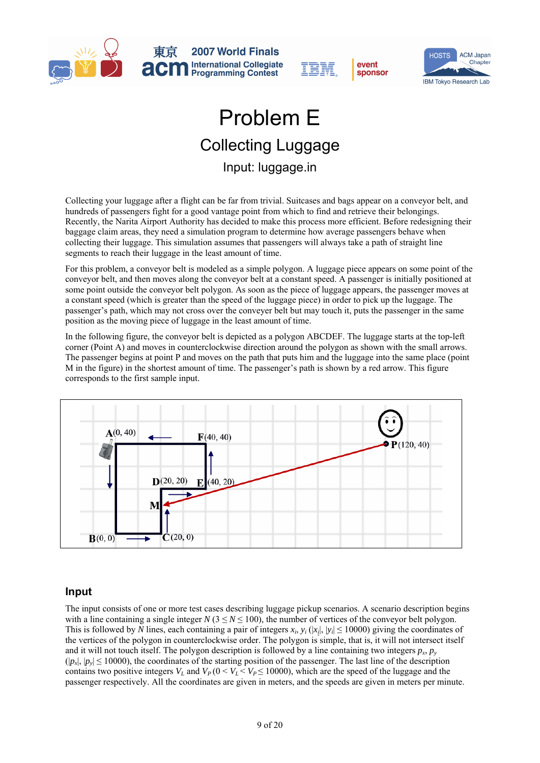





# Problem E Collecting Luggage Input: luggage.in

Collecting your luggage after a flight can be far from trivial. Suitcases and bags appear on a conveyor belt, and hundreds of passengers fight for a good vantage point from which to find and retrieve their belongings. Recently, the Narita Airport Authority has decided to make this process more efficient. Before redesigning their baggage claim areas, they need a simulation program to determine how average passengers behave when collecting their luggage. This simulation assumes that passengers will always take a path of straight line segments to reach their luggage in the least amount of time.

For this problem, a conveyor belt is modeled as a simple polygon. A luggage piece appears on some point of the conveyor belt, and then moves along the conveyor belt at a constant speed. A passenger is initially positioned at some point outside the conveyor belt polygon. As soon as the piece of luggage appears, the passenger moves at a constant speed (which is greater than the speed of the luggage piece) in order to pick up the luggage. The passenger's path, which may not cross over the conveyer belt but may touch it, puts the passenger in the same position as the moving piece of luggage in the least amount of time.

In the following figure, the conveyor belt is depicted as a polygon ABCDEF. The luggage starts at the top-left corner (Point A) and moves in counterclockwise direction around the polygon as shown with the small arrows. The passenger begins at point P and moves on the path that puts him and the luggage into the same place (point M in the figure) in the shortest amount of time. The passenger's path is shown by a red arrow. This figure corresponds to the first sample input.



### **Input**

The input consists of one or more test cases describing luggage pickup scenarios. A scenario description begins with a line containing a single integer  $N$  ( $3 \le N \le 100$ ), the number of vertices of the conveyor belt polygon. This is followed by *N* lines, each containing a pair of integers  $x_i$ ,  $y_i$  ( $|x_i|$ ,  $|y_i| \le 10000$ ) giving the coordinates of the vertices of the polygon in counterclockwise order. The polygon is simple, that is, it will not intersect itself and it will not touch itself. The polygon description is followed by a line containing two integers  $p_x$ ,  $p_y$  $(|p_x|, |p_y| \le 10000)$ , the coordinates of the starting position of the passenger. The last line of the description contains two positive integers  $V_L$  and  $V_P$  ( $0 \lt V_L \lt V_P \le 10000$ ), which are the speed of the luggage and the passenger respectively. All the coordinates are given in meters, and the speeds are given in meters per minute.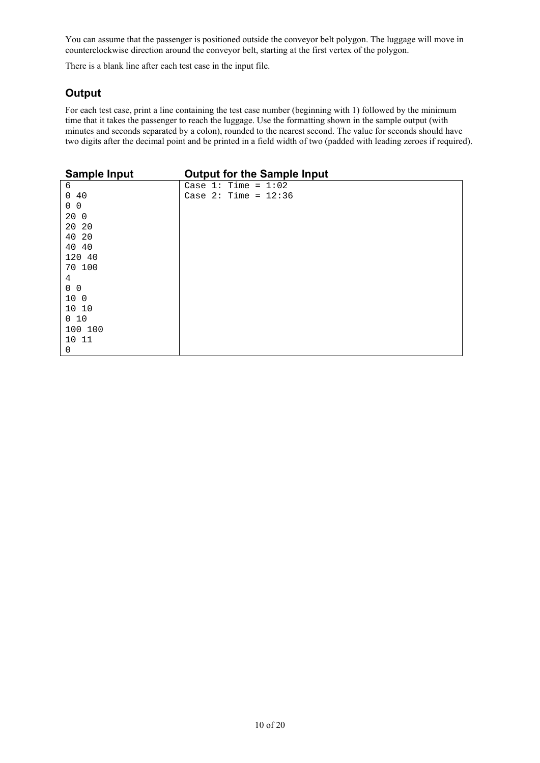You can assume that the passenger is positioned outside the conveyor belt polygon. The luggage will move in counterclockwise direction around the conveyor belt, starting at the first vertex of the polygon.

There is a blank line after each test case in the input file.

# **Output**

For each test case, print a line containing the test case number (beginning with 1) followed by the minimum time that it takes the passenger to reach the luggage. Use the formatting shown in the sample output (with minutes and seconds separated by a colon), rounded to the nearest second. The value for seconds should have two digits after the decimal point and be printed in a field width of two (padded with leading zeroes if required).

| <b>Sample Input</b>     | <b>Output for the Sample Input</b> |
|-------------------------|------------------------------------|
| 6                       | Case 1: Time = $1:02$              |
| 0<br>40                 | Case $2: Time = 12:36$             |
| $\mathbf 0$<br>$\Omega$ |                                    |
| 20 <sub>0</sub>         |                                    |
| 20 20                   |                                    |
| 40 20                   |                                    |
| 40 40                   |                                    |
| 120 40                  |                                    |
| 70 100                  |                                    |
| 4                       |                                    |
| $0\quad 0$              |                                    |
| 10 0                    |                                    |
| 10 10                   |                                    |
| 010                     |                                    |
| 100 100                 |                                    |
| 10 11                   |                                    |
| $\mathbf 0$             |                                    |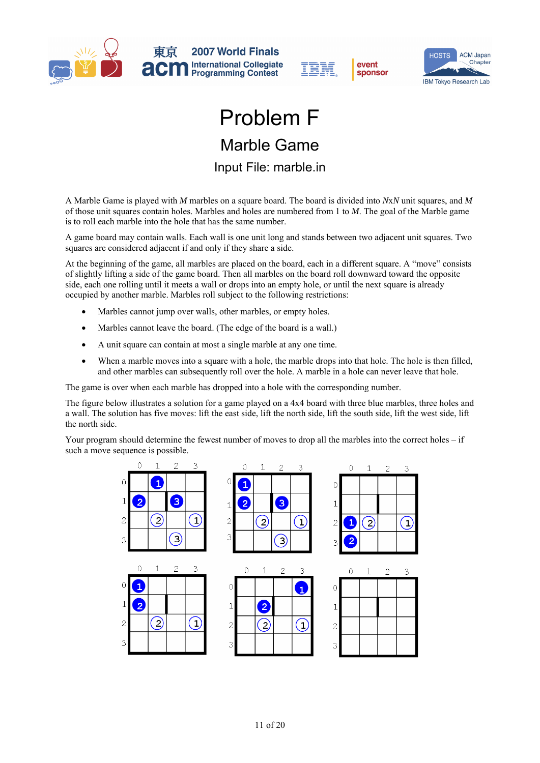





# Problem F Marble Game Input File: marble.in

A Marble Game is played with *M* marbles on a square board. The board is divided into *N*x*N* unit squares, and *M* of those unit squares contain holes. Marbles and holes are numbered from 1 to *M*. The goal of the Marble game is to roll each marble into the hole that has the same number.

A game board may contain walls. Each wall is one unit long and stands between two adjacent unit squares. Two squares are considered adjacent if and only if they share a side.

At the beginning of the game, all marbles are placed on the board, each in a different square. A "move" consists of slightly lifting a side of the game board. Then all marbles on the board roll downward toward the opposite side, each one rolling until it meets a wall or drops into an empty hole, or until the next square is already occupied by another marble. Marbles roll subject to the following restrictions:

- Marbles cannot jump over walls, other marbles, or empty holes.
- Marbles cannot leave the board. (The edge of the board is a wall.)
- A unit square can contain at most a single marble at any one time.
- When a marble moves into a square with a hole, the marble drops into that hole. The hole is then filled, and other marbles can subsequently roll over the hole. A marble in a hole can never leave that hole.

The game is over when each marble has dropped into a hole with the corresponding number.

The figure below illustrates a solution for a game played on a 4x4 board with three blue marbles, three holes and a wall. The solution has five moves: lift the east side, lift the north side, lift the south side, lift the west side, lift the north side.

Your program should determine the fewest number of moves to drop all the marbles into the correct holes – if such a move sequence is possible.

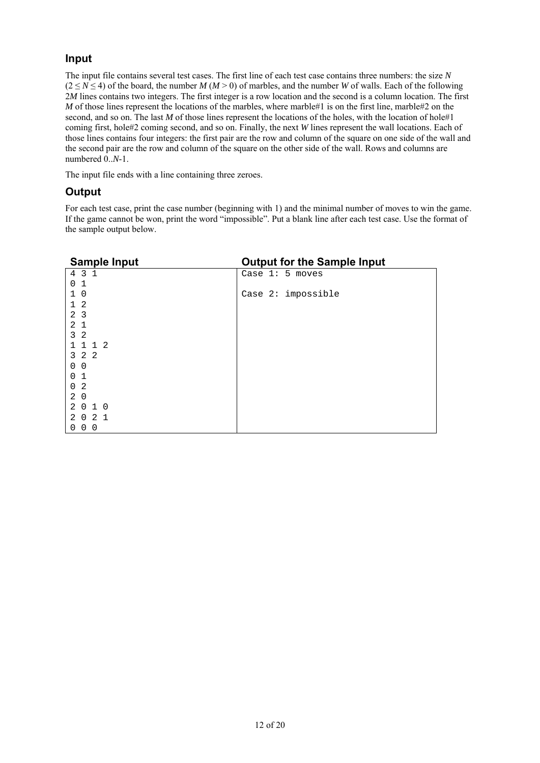The input file contains several test cases. The first line of each test case contains three numbers: the size *N*  $(2 \le N \le 4)$  of the board, the number *M* (*M* > 0) of marbles, and the number *W* of walls. Each of the following 2*M* lines contains two integers. The first integer is a row location and the second is a column location. The first *M* of those lines represent the locations of the marbles, where marble#1 is on the first line, marble#2 on the second, and so on. The last  $M$  of those lines represent the locations of the holes, with the location of hole#1 coming first, hole#2 coming second, and so on. Finally, the next *W* lines represent the wall locations. Each of those lines contains four integers: the first pair are the row and column of the square on one side of the wall and the second pair are the row and column of the square on the other side of the wall. Rows and columns are numbered 0..*N*-1.

The input file ends with a line containing three zeroes.

#### **Output**

For each test case, print the case number (beginning with 1) and the minimal number of moves to win the game. If the game cannot be won, print the word "impossible". Put a blank line after each test case. Use the format of the sample output below.

| <b>Sample Input</b>                | <b>Output for the Sample Input</b> |
|------------------------------------|------------------------------------|
| 3 <sub>1</sub><br>4                | Case 1: 5 moves                    |
| $\mathbf{1}$<br>0                  |                                    |
| 1<br>$\Omega$                      | Case 2: impossible                 |
| 1<br>$\overline{2}$                |                                    |
| 3<br>2                             |                                    |
| 2<br>1                             |                                    |
| $\overline{2}$<br>3                |                                    |
| $1\quad2$                          |                                    |
| 2 2<br>3                           |                                    |
| $\Omega$<br>0                      |                                    |
| $\mathbf{1}$<br>0                  |                                    |
| 2<br>$\mathbf 0$                   |                                    |
| 2<br>$\overline{0}$                |                                    |
| 2<br>$\mathbf{1}$<br>0<br>$\Omega$ |                                    |
| 2 <sub>1</sub><br>2<br>$\Omega$    |                                    |
| 0<br>0<br>0                        |                                    |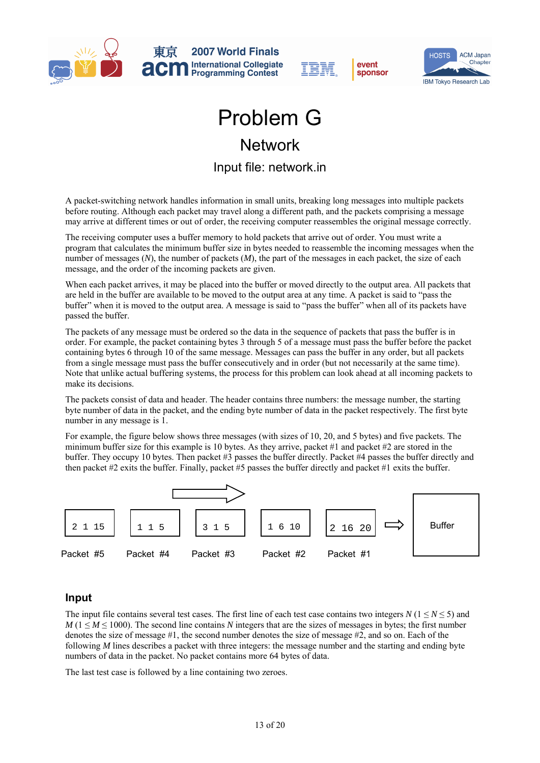





# Problem G **Network** Input file: network.in

A packet-switching network handles information in small units, breaking long messages into multiple packets before routing. Although each packet may travel along a different path, and the packets comprising a message may arrive at different times or out of order, the receiving computer reassembles the original message correctly.

The receiving computer uses a buffer memory to hold packets that arrive out of order. You must write a program that calculates the minimum buffer size in bytes needed to reassemble the incoming messages when the number of messages (*N*), the number of packets (*M*), the part of the messages in each packet, the size of each message, and the order of the incoming packets are given.

When each packet arrives, it may be placed into the buffer or moved directly to the output area. All packets that are held in the buffer are available to be moved to the output area at any time. A packet is said to "pass the buffer" when it is moved to the output area. A message is said to "pass the buffer" when all of its packets have passed the buffer.

The packets of any message must be ordered so the data in the sequence of packets that pass the buffer is in order. For example, the packet containing bytes 3 through 5 of a message must pass the buffer before the packet containing bytes 6 through 10 of the same message. Messages can pass the buffer in any order, but all packets from a single message must pass the buffer consecutively and in order (but not necessarily at the same time). Note that unlike actual buffering systems, the process for this problem can look ahead at all incoming packets to make its decisions.

The packets consist of data and header. The header contains three numbers: the message number, the starting byte number of data in the packet, and the ending byte number of data in the packet respectively. The first byte number in any message is 1.

For example, the figure below shows three messages (with sizes of 10, 20, and 5 bytes) and five packets. The minimum buffer size for this example is 10 bytes. As they arrive, packet #1 and packet #2 are stored in the buffer. They occupy 10 bytes. Then packet #3 passes the buffer directly. Packet #4 passes the buffer directly and then packet #2 exits the buffer. Finally, packet #5 passes the buffer directly and packet #1 exits the buffer.



#### **Input**

The input file contains several test cases. The first line of each test case contains two integers  $N$  ( $1 \le N \le 5$ ) and  $M(1 \leq M \leq 1000)$ . The second line contains *N* integers that are the sizes of messages in bytes; the first number denotes the size of message #1, the second number denotes the size of message #2, and so on. Each of the following *M* lines describes a packet with three integers: the message number and the starting and ending byte numbers of data in the packet. No packet contains more 64 bytes of data.

The last test case is followed by a line containing two zeroes.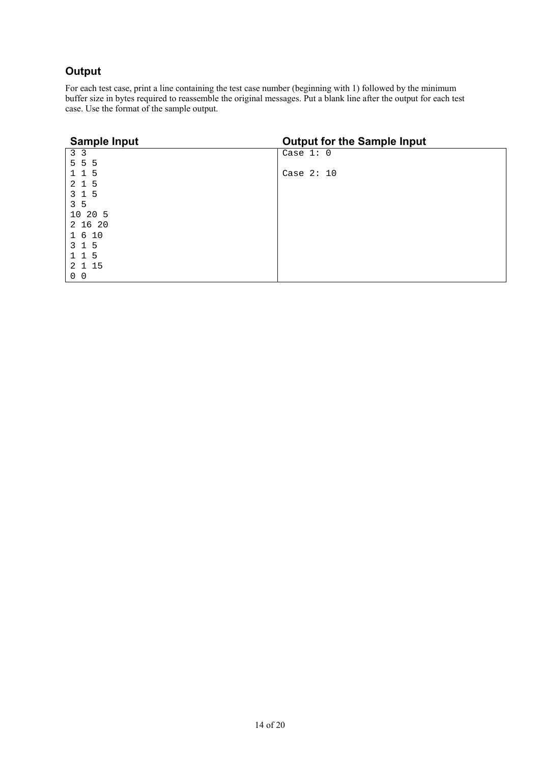# **Output**

For each test case, print a line containing the test case number (beginning with 1) followed by the minimum buffer size in bytes required to reassemble the original messages. Put a blank line after the output for each test case. Use the format of the sample output.

| <b>Sample Input</b> | <b>Output for the Sample Input</b> |
|---------------------|------------------------------------|
| 3 <sup>3</sup>      | Case $1:0$                         |
| 5 5 5               |                                    |
| 1 1 5               | Case $2:10$                        |
| 215                 |                                    |
| 3 1 5               |                                    |
| 3 <sub>5</sub>      |                                    |
| 10 20 5             |                                    |
| 2 16 20             |                                    |
| 1 6 10              |                                    |
| 3 1 5               |                                    |
| 1 1 5               |                                    |
| 2 1 15              |                                    |
| - 0<br>0            |                                    |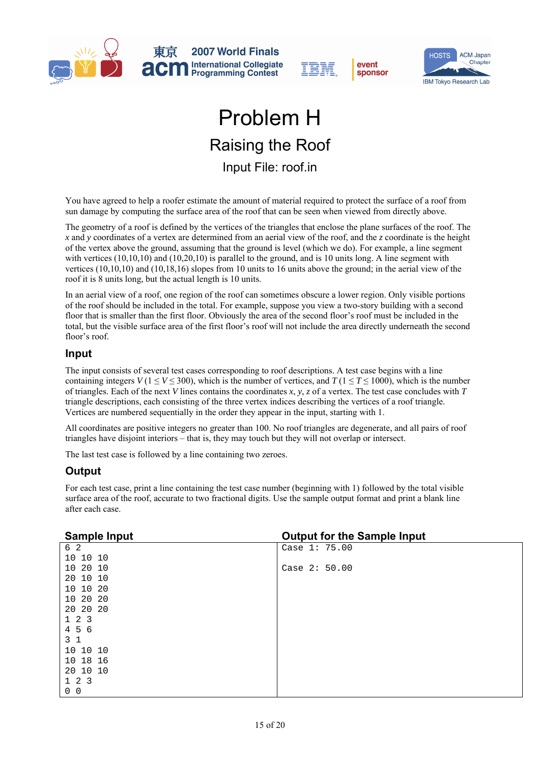





# Problem H Raising the Roof Input File: roof.in

You have agreed to help a roofer estimate the amount of material required to protect the surface of a roof from sun damage by computing the surface area of the roof that can be seen when viewed from directly above.

The geometry of a roof is defined by the vertices of the triangles that enclose the plane surfaces of the roof. The *x* and *y* coordinates of a vertex are determined from an aerial view of the roof, and the *z* coordinate is the height of the vertex above the ground, assuming that the ground is level (which we do). For example, a line segment with vertices (10,10,10) and (10,20,10) is parallel to the ground, and is 10 units long. A line segment with vertices (10,10,10) and (10,18,16) slopes from 10 units to 16 units above the ground; in the aerial view of the roof it is 8 units long, but the actual length is 10 units.

In an aerial view of a roof, one region of the roof can sometimes obscure a lower region. Only visible portions of the roof should be included in the total. For example, suppose you view a two-story building with a second floor that is smaller than the first floor. Obviously the area of the second floor's roof must be included in the total, but the visible surface area of the first floor's roof will not include the area directly underneath the second floor's roof.

#### **Input**

The input consists of several test cases corresponding to roof descriptions. A test case begins with a line containing integers *V* ( $1 \le V \le 300$ ), which is the number of vertices, and  $T$  ( $1 \le T \le 1000$ ), which is the number of triangles. Each of the next *V* lines contains the coordinates *x*, *y*, *z* of a vertex. The test case concludes with *T* triangle descriptions, each consisting of the three vertex indices describing the vertices of a roof triangle. Vertices are numbered sequentially in the order they appear in the input, starting with 1.

All coordinates are positive integers no greater than 100. No roof triangles are degenerate, and all pairs of roof triangles have disjoint interiors – that is, they may touch but they will not overlap or intersect.

The last test case is followed by a line containing two zeroes.

### **Output**

For each test case, print a line containing the test case number (beginning with 1) followed by the total visible surface area of the roof, accurate to two fractional digits. Use the sample output format and print a blank line after each case.

| <b>Sample Input</b> | <b>Output for the Sample Input</b> |
|---------------------|------------------------------------|
| 6 2                 | Case 1: 75.00                      |
| 10 10 10            |                                    |
| 10 20 10            | Case 2: 50.00                      |
| 20 10 10            |                                    |
| 10 10 20            |                                    |
| 10 20 20            |                                    |
| 20 20 20            |                                    |
| $1\quad2\quad3$     |                                    |
| 4 5 6               |                                    |
| 3 <sub>1</sub>      |                                    |
| 10 10 10            |                                    |
| 10 18 16            |                                    |
| 20 10 10            |                                    |
| $1\quad2\quad3$     |                                    |
| 0 <sub>0</sub>      |                                    |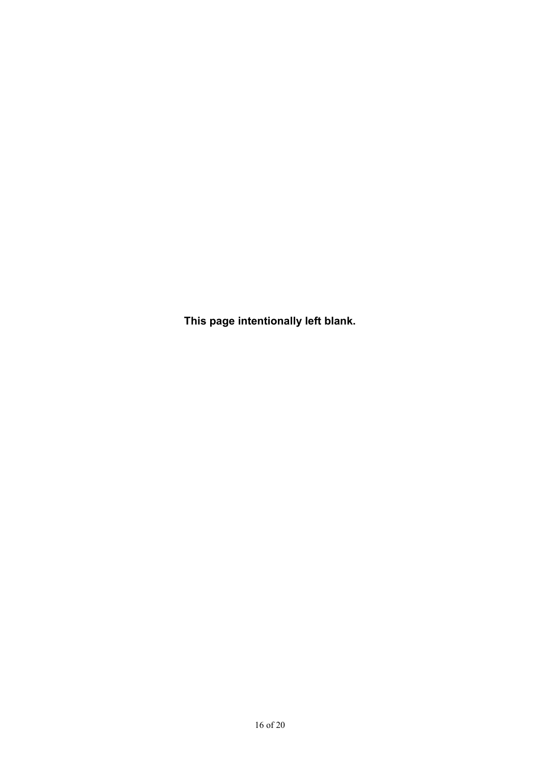**This page intentionally left blank.**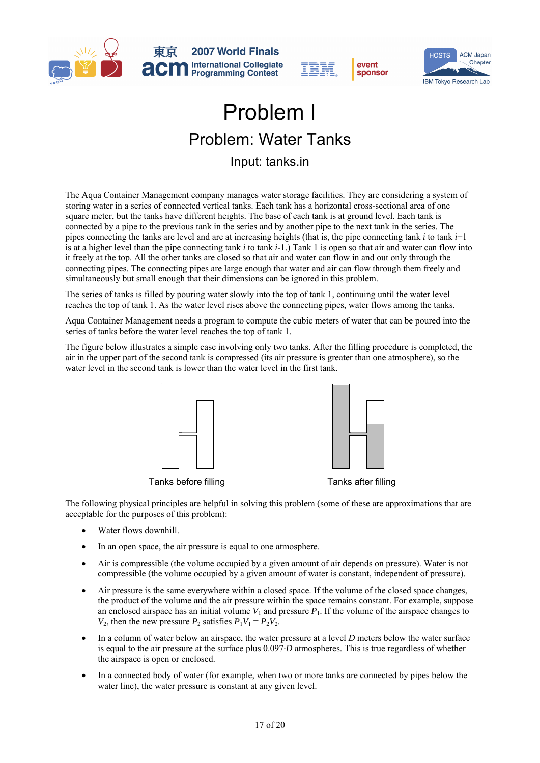





# Problem I Problem: Water Tanks Input: tanks.in

The Aqua Container Management company manages water storage facilities. They are considering a system of storing water in a series of connected vertical tanks. Each tank has a horizontal cross-sectional area of one square meter, but the tanks have different heights. The base of each tank is at ground level. Each tank is connected by a pipe to the previous tank in the series and by another pipe to the next tank in the series. The pipes connecting the tanks are level and are at increasing heights (that is, the pipe connecting tank *i* to tank *i*+1 is at a higher level than the pipe connecting tank *i* to tank *i*-1.) Tank 1 is open so that air and water can flow into it freely at the top. All the other tanks are closed so that air and water can flow in and out only through the connecting pipes. The connecting pipes are large enough that water and air can flow through them freely and simultaneously but small enough that their dimensions can be ignored in this problem.

The series of tanks is filled by pouring water slowly into the top of tank 1, continuing until the water level reaches the top of tank 1. As the water level rises above the connecting pipes, water flows among the tanks.

Aqua Container Management needs a program to compute the cubic meters of water that can be poured into the series of tanks before the water level reaches the top of tank 1.

The figure below illustrates a simple case involving only two tanks. After the filling procedure is completed, the air in the upper part of the second tank is compressed (its air pressure is greater than one atmosphere), so the water level in the second tank is lower than the water level in the first tank.





Tanks before filling Tanks after filling

The following physical principles are helpful in solving this problem (some of these are approximations that are acceptable for the purposes of this problem):

- Water flows downhill.
- In an open space, the air pressure is equal to one atmosphere.
- Air is compressible (the volume occupied by a given amount of air depends on pressure). Water is not compressible (the volume occupied by a given amount of water is constant, independent of pressure).
- Air pressure is the same everywhere within a closed space. If the volume of the closed space changes, the product of the volume and the air pressure within the space remains constant. For example, suppose an enclosed airspace has an initial volume  $V_1$  and pressure  $P_1$ . If the volume of the airspace changes to *V*<sub>2</sub>, then the new pressure  $P_2$  satisfies  $P_1V_1 = P_2V_2$ .
- In a column of water below an airspace, the water pressure at a level *D* meters below the water surface is equal to the air pressure at the surface plus 0.097·*D* atmospheres. This is true regardless of whether the airspace is open or enclosed.
- In a connected body of water (for example, when two or more tanks are connected by pipes below the water line), the water pressure is constant at any given level.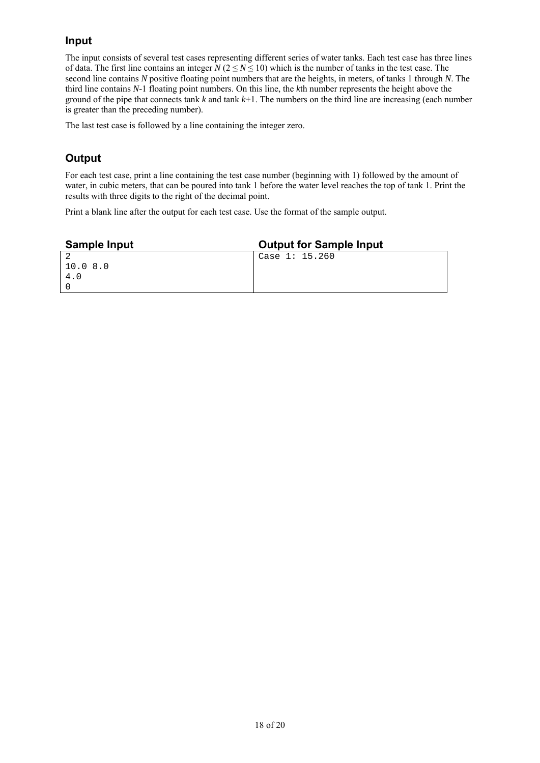The input consists of several test cases representing different series of water tanks. Each test case has three lines of data. The first line contains an integer  $N$  ( $2 \le N \le 10$ ) which is the number of tanks in the test case. The second line contains *N* positive floating point numbers that are the heights, in meters, of tanks 1 through *N*. The third line contains *N*-1 floating point numbers. On this line, the *k*th number represents the height above the ground of the pipe that connects tank *k* and tank *k*+1. The numbers on the third line are increasing (each number is greater than the preceding number).

The last test case is followed by a line containing the integer zero.

# **Output**

For each test case, print a line containing the test case number (beginning with 1) followed by the amount of water, in cubic meters, that can be poured into tank 1 before the water level reaches the top of tank 1. Print the results with three digits to the right of the decimal point.

Print a blank line after the output for each test case. Use the format of the sample output.

| <b>Sample Input</b> | <b>Output for Sample Input</b> |
|---------------------|--------------------------------|
|                     | Case 1: 15.260                 |
| 10.0 8.0            |                                |
| 4.0                 |                                |
|                     |                                |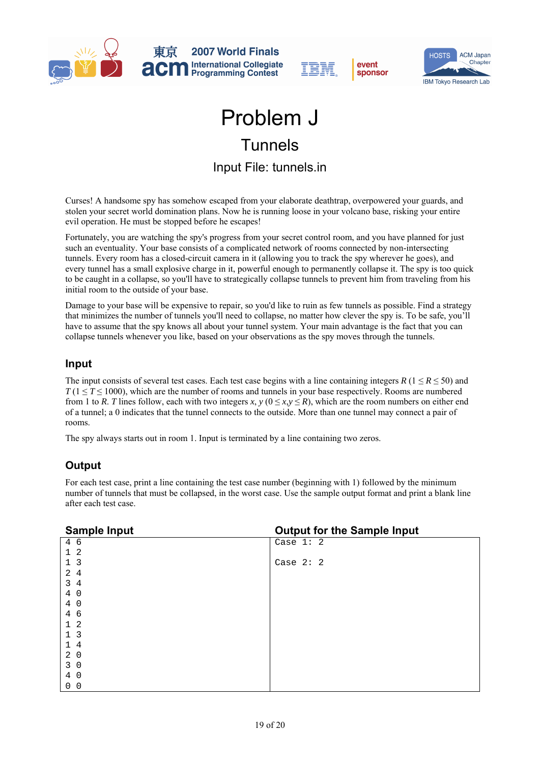





# Problem J **Tunnels** Input File: tunnels.in

Curses! A handsome spy has somehow escaped from your elaborate deathtrap, overpowered your guards, and stolen your secret world domination plans. Now he is running loose in your volcano base, risking your entire evil operation. He must be stopped before he escapes!

Fortunately, you are watching the spy's progress from your secret control room, and you have planned for just such an eventuality. Your base consists of a complicated network of rooms connected by non-intersecting tunnels. Every room has a closed-circuit camera in it (allowing you to track the spy wherever he goes), and every tunnel has a small explosive charge in it, powerful enough to permanently collapse it. The spy is too quick to be caught in a collapse, so you'll have to strategically collapse tunnels to prevent him from traveling from his initial room to the outside of your base.

Damage to your base will be expensive to repair, so you'd like to ruin as few tunnels as possible. Find a strategy that minimizes the number of tunnels you'll need to collapse, no matter how clever the spy is. To be safe, you'll have to assume that the spy knows all about your tunnel system. Your main advantage is the fact that you can collapse tunnels whenever you like, based on your observations as the spy moves through the tunnels.

#### **Input**

The input consists of several test cases. Each test case begins with a line containing integers  $R$  (1  $\leq$   $R$   $\leq$  50) and  $T(1 \le T \le 1000)$ , which are the number of rooms and tunnels in your base respectively. Rooms are numbered from 1 to *R*. *T* lines follow, each with two integers *x*,  $y$  ( $0 \le x, y \le R$ ), which are the room numbers on either end of a tunnel; a 0 indicates that the tunnel connects to the outside. More than one tunnel may connect a pair of rooms.

The spy always starts out in room 1. Input is terminated by a line containing two zeros.

# **Output**

For each test case, print a line containing the test case number (beginning with 1) followed by the minimum number of tunnels that must be collapsed, in the worst case. Use the sample output format and print a blank line after each test case.

| <b>Sample Input</b> | <b>Output for the Sample Input</b> |
|---------------------|------------------------------------|
| 4 6                 | Case $1:2$                         |
| $1\quad2$           |                                    |
| 1 <sub>3</sub>      | Case $2:2$                         |
| 24                  |                                    |
| 34                  |                                    |
| 4 0                 |                                    |
| 4 0                 |                                    |
| 4 6                 |                                    |
| $1\quad2$           |                                    |
| 1 <sub>3</sub>      |                                    |
| 14                  |                                    |
| $2\quad0$           |                                    |
| 30                  |                                    |
| 4 0                 |                                    |
| $0\quad 0$          |                                    |